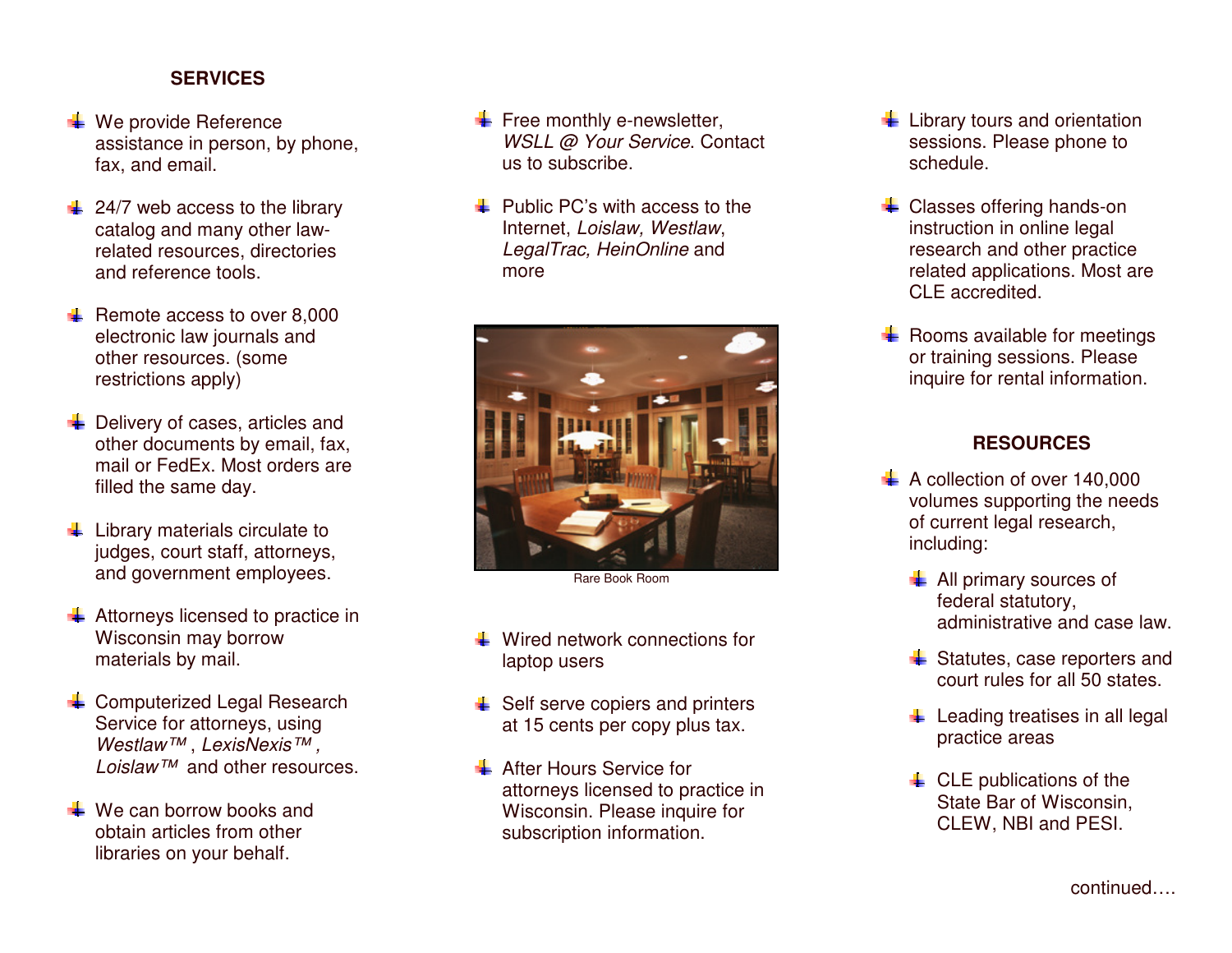#### **SERVICES**

- $\ddot{\bullet}$  We provide Reference assistance in person, by phone, fax, and email.
- $\frac{1}{2}$  24/7 web access to the library catalog and many other lawrelated resources, directories and reference tools.
- $\leftarrow$  Remote access to over 8,000 electronic law journals and other resources. (some restrictions apply)
- $\frac{1}{2}$  Delivery of cases, articles and other documents by email, fax, mail or FedEx. Most orders are filled the same day.
- $\frac{1}{2}$  Library materials circulate to judges, court staff, attorneys, and government employees.
- $\overline{\phantom{a} \bullet}$  Attorneys licensed to practice in Wisconsin may borrow materials by mail.
- **E** Computerized Legal Research Service for attorneys, using Westlaw™, LexisNexis™, Loislaw™ and other resources.
- $\frac{1}{2}$  We can borrow books and obtain articles from other libraries on your behalf.
- $\leftarrow$  Free monthly e-newsletter, WSLL @ Your Service. Contact us to subscribe.
- $\pm$  Public PC's with access to the Internet, Loislaw, Westlaw, LegalTrac, HeinOnline and more



Rare Book Room

- $\frac{1}{2}$  Wired network connections for laptop users
- $\bigstar$  Self serve copiers and printers at 15 cents per copy plus tax.
- **After Hours Service for**  attorneys licensed to practice in Wisconsin. Please inquire for subscription information.
- $\leftarrow$  Library tours and orientation sessions. Please phone to schedule.
- **↓** Classes offering hands-on instruction in online legal research and other practice related applications. Most are CLE accredited.
- $\leftarrow$  Rooms available for meetings or training sessions. Please inquire for rental information.

### **RESOURCES**

- $\uparrow$  A collection of over 140,000 volumes supporting the needs of current legal research, including:
	- $\blacksquare$  All primary sources of federal statutory, administrative and case law.
	- $\frac{1}{2}$  Statutes, case reporters and court rules for all 50 states.
	- $\ddot{\phantom{a}}$  Leading treatises in all legal practice areas
	- $\leftarrow$  CLE publications of the State Bar of Wisconsin, CLEW, NBI and PESI.